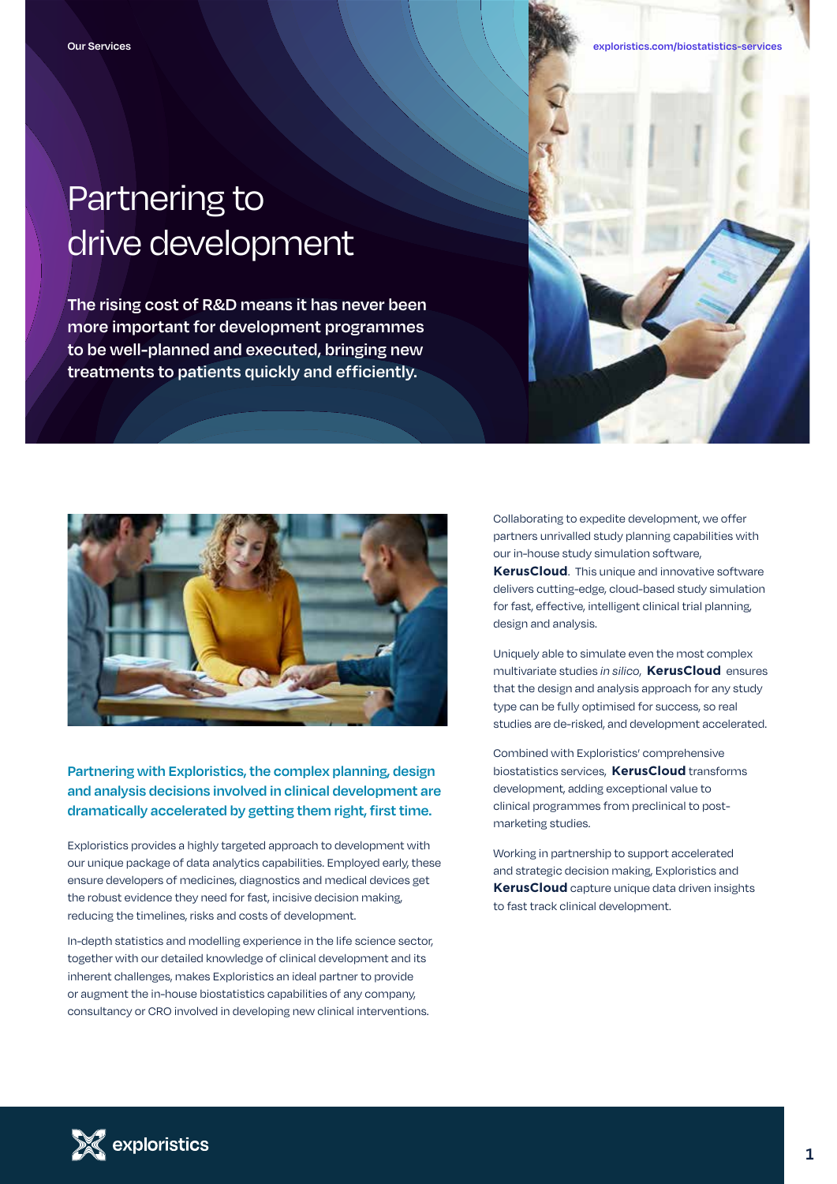## Partnering to drive development

**The rising cost of R&D means it has never been more important for development programmes to be well-planned and executed, bringing new treatments to patients quickly and efficiently.**



### **Partnering with Exploristics, the complex planning, design and analysis decisions involved in clinical development are dramatically accelerated by getting them right, first time.**

Exploristics provides a highly targeted approach to development with our unique package of data analytics capabilities. Employed early, these ensure developers of medicines, diagnostics and medical devices get the robust evidence they need for fast, incisive decision making, reducing the timelines, risks and costs of development.

In-depth statistics and modelling experience in the life science sector, together with our detailed knowledge of clinical development and its inherent challenges, makes Exploristics an ideal partner to provide or augment the in-house biostatistics capabilities of any company, consultancy or CRO involved in developing new clinical interventions.

Collaborating to expedite development, we offer partners unrivalled study planning capabilities with our in-house study simulation software, **KerusCloud**. This unique and innovative software delivers cutting-edge, cloud-based study simulation for fast, effective, intelligent clinical trial planning, design and analysis.

Uniquely able to simulate even the most complex multivariate studies *in silico*, **KerusCloud** ensures that the design and analysis approach for any study type can be fully optimised for success, so real studies are de-risked, and development accelerated.

Combined with Exploristics' comprehensive biostatistics services, **KerusCloud** transforms development, adding exceptional value to clinical programmes from preclinical to postmarketing studies.

Working in partnership to support accelerated and strategic decision making, Exploristics and **KerusCloud** capture unique data driven insights to fast track clinical development.